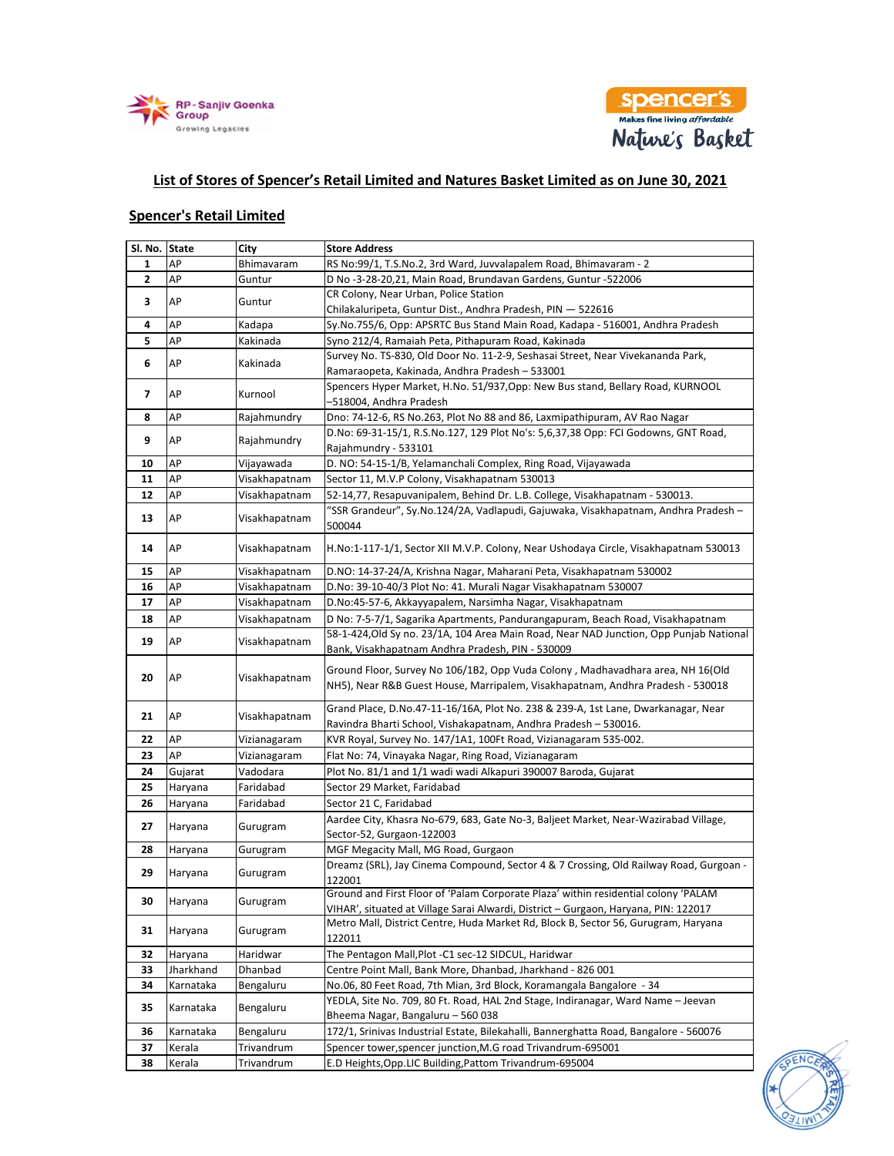



## **List of Stores of Spencer's Retail Limited and Natures Basket Limited as on June 30, 2021**

## **Spencer's Retail Limited**

| Sl. No. State           |           | <b>City</b>   | <b>Store Address</b>                                                                                                                                 |                           |
|-------------------------|-----------|---------------|------------------------------------------------------------------------------------------------------------------------------------------------------|---------------------------|
| 1                       | AP        | Bhimavaram    | RS No:99/1, T.S.No.2, 3rd Ward, Juvvalapalem Road, Bhimavaram - 2                                                                                    |                           |
| $\overline{2}$          | AP        | Guntur        | D No-3-28-20,21, Main Road, Brundavan Gardens, Guntur -522006                                                                                        |                           |
| 3                       | AP        | Guntur        | CR Colony, Near Urban, Police Station                                                                                                                |                           |
|                         |           |               | Chilakaluripeta, Guntur Dist., Andhra Pradesh, PIN - 522616                                                                                          |                           |
| 4                       | AP        | Kadapa        | Sy.No.755/6, Opp: APSRTC Bus Stand Main Road, Kadapa - 516001, Andhra Pradesh                                                                        |                           |
| 5                       | AP        | Kakinada      | Syno 212/4, Ramaiah Peta, Pithapuram Road, Kakinada                                                                                                  |                           |
| 6                       | AP        | Kakinada      | Survey No. TS-830, Old Door No. 11-2-9, Seshasai Street, Near Vivekananda Park,                                                                      |                           |
|                         |           |               | Ramaraopeta, Kakinada, Andhra Pradesh - 533001                                                                                                       |                           |
| $\overline{\mathbf{z}}$ | AP        | Kurnool       | Spencers Hyper Market, H.No. 51/937, Opp: New Bus stand, Bellary Road, KURNOOL<br>-518004, Andhra Pradesh                                            |                           |
| 8                       | AP        | Rajahmundry   | Dno: 74-12-6, RS No.263, Plot No 88 and 86, Laxmipathipuram, AV Rao Nagar                                                                            |                           |
| 9                       | AP        | Rajahmundry   | D.No: 69-31-15/1, R.S.No.127, 129 Plot No's: 5,6,37,38 Opp: FCI Godowns, GNT Road,                                                                   |                           |
|                         |           |               | Rajahmundry - 533101                                                                                                                                 |                           |
| 10                      | AP        | Vijayawada    | D. NO: 54-15-1/B, Yelamanchali Complex, Ring Road, Vijayawada                                                                                        |                           |
| 11                      | AP        | Visakhapatnam | Sector 11, M.V.P Colony, Visakhapatnam 530013                                                                                                        |                           |
| 12                      | AP        | Visakhapatnam | 52-14,77, Resapuvanipalem, Behind Dr. L.B. College, Visakhapatnam - 530013.                                                                          |                           |
| 13                      | AP        | Visakhapatnam | "SSR Grandeur", Sy.No.124/2A, Vadlapudi, Gajuwaka, Visakhapatnam, Andhra Pradesh -                                                                   |                           |
|                         |           |               | 500044                                                                                                                                               |                           |
| 14                      | AP        | Visakhapatnam | H.No:1-117-1/1, Sector XII M.V.P. Colony, Near Ushodaya Circle, Visakhapatnam 530013                                                                 |                           |
| 15                      | AP        | Visakhapatnam | D.NO: 14-37-24/A, Krishna Nagar, Maharani Peta, Visakhapatnam 530002                                                                                 |                           |
| 16                      | AP        | Visakhapatnam | D.No: 39-10-40/3 Plot No: 41. Murali Nagar Visakhapatnam 530007                                                                                      |                           |
| 17                      | AP        | Visakhapatnam | D.No:45-57-6, Akkayyapalem, Narsimha Nagar, Visakhapatnam                                                                                            |                           |
| 18                      | AP        | Visakhapatnam | D No: 7-5-7/1, Sagarika Apartments, Pandurangapuram, Beach Road, Visakhapatnam                                                                       |                           |
| 19                      | AP        | Visakhapatnam | 58-1-424, Old Sy no. 23/1A, 104 Area Main Road, Near NAD Junction, Opp Punjab National                                                               |                           |
|                         |           |               | Bank, Visakhapatnam Andhra Pradesh, PIN - 530009                                                                                                     |                           |
|                         | AP        | Visakhapatnam | Ground Floor, Survey No 106/1B2, Opp Vuda Colony, Madhavadhara area, NH 16(Old                                                                       |                           |
| 20                      |           |               | NH5), Near R&B Guest House, Marripalem, Visakhapatnam, Andhra Pradesh - 530018                                                                       |                           |
|                         |           |               |                                                                                                                                                      |                           |
| 21                      | AP        | Visakhapatnam | Grand Place, D.No.47-11-16/16A, Plot No. 238 & 239-A, 1st Lane, Dwarkanagar, Near<br>Ravindra Bharti School, Vishakapatnam, Andhra Pradesh - 530016. |                           |
| 22                      | AP        | Vizianagaram  | KVR Royal, Survey No. 147/1A1, 100Ft Road, Vizianagaram 535-002.                                                                                     |                           |
| 23                      | AP        | Vizianagaram  | Flat No: 74, Vinayaka Nagar, Ring Road, Vizianagaram                                                                                                 |                           |
| 24                      | Gujarat   | Vadodara      | Plot No. 81/1 and 1/1 wadi wadi Alkapuri 390007 Baroda, Gujarat                                                                                      |                           |
| 25                      | Haryana   | Faridabad     | Sector 29 Market, Faridabad                                                                                                                          |                           |
|                         |           | Faridabad     | Sector 21 C, Faridabad                                                                                                                               |                           |
| 26                      | Haryana   |               | Aardee City, Khasra No-679, 683, Gate No-3, Baljeet Market, Near-Wazirabad Village,                                                                  |                           |
| 27                      | Haryana   |               | Gurugram                                                                                                                                             | Sector-52, Gurgaon-122003 |
| 28                      | Haryana   | Gurugram      | MGF Megacity Mall, MG Road, Gurgaon                                                                                                                  |                           |
|                         |           |               | Dreamz (SRL), Jay Cinema Compound, Sector 4 & 7 Crossing, Old Railway Road, Gurgoan -                                                                |                           |
| 29                      | Haryana   | Gurugram      | 122001                                                                                                                                               |                           |
|                         |           |               | Ground and First Floor of 'Palam Corporate Plaza' within residential colony 'PALAM                                                                   |                           |
| 30                      | Haryana   | Gurugram      | VIHAR', situated at Village Sarai Alwardi, District - Gurgaon, Haryana, PIN: 122017                                                                  |                           |
| 31                      | Haryana   | Gurugram      | Metro Mall, District Centre, Huda Market Rd, Block B, Sector 56, Gurugram, Haryana                                                                   |                           |
|                         |           |               | 122011                                                                                                                                               |                           |
| 32                      | Haryana   | Haridwar      | The Pentagon Mall, Plot -C1 sec-12 SIDCUL, Haridwar                                                                                                  |                           |
| 33                      | Jharkhand | Dhanbad       | Centre Point Mall, Bank More, Dhanbad, Jharkhand - 826 001                                                                                           |                           |
| 34                      | Karnataka | Bengaluru     | No.06, 80 Feet Road, 7th Mian, 3rd Block, Koramangala Bangalore - 34                                                                                 |                           |
| 35                      | Karnataka | Bengaluru     | YEDLA, Site No. 709, 80 Ft. Road, HAL 2nd Stage, Indiranagar, Ward Name - Jeevan                                                                     |                           |
|                         |           |               | Bheema Nagar, Bangaluru - 560 038                                                                                                                    |                           |
| 36                      | Karnataka | Bengaluru     | 172/1, Srinivas Industrial Estate, Bilekahalli, Bannerghatta Road, Bangalore - 560076                                                                |                           |
| 37                      | Kerala    | Trivandrum    | Spencer tower, spencer junction, M.G road Trivandrum-695001                                                                                          |                           |
| 38                      | Kerala    | Trivandrum    | E.D Heights, Opp. LIC Building, Pattom Trivandrum-695004                                                                                             |                           |

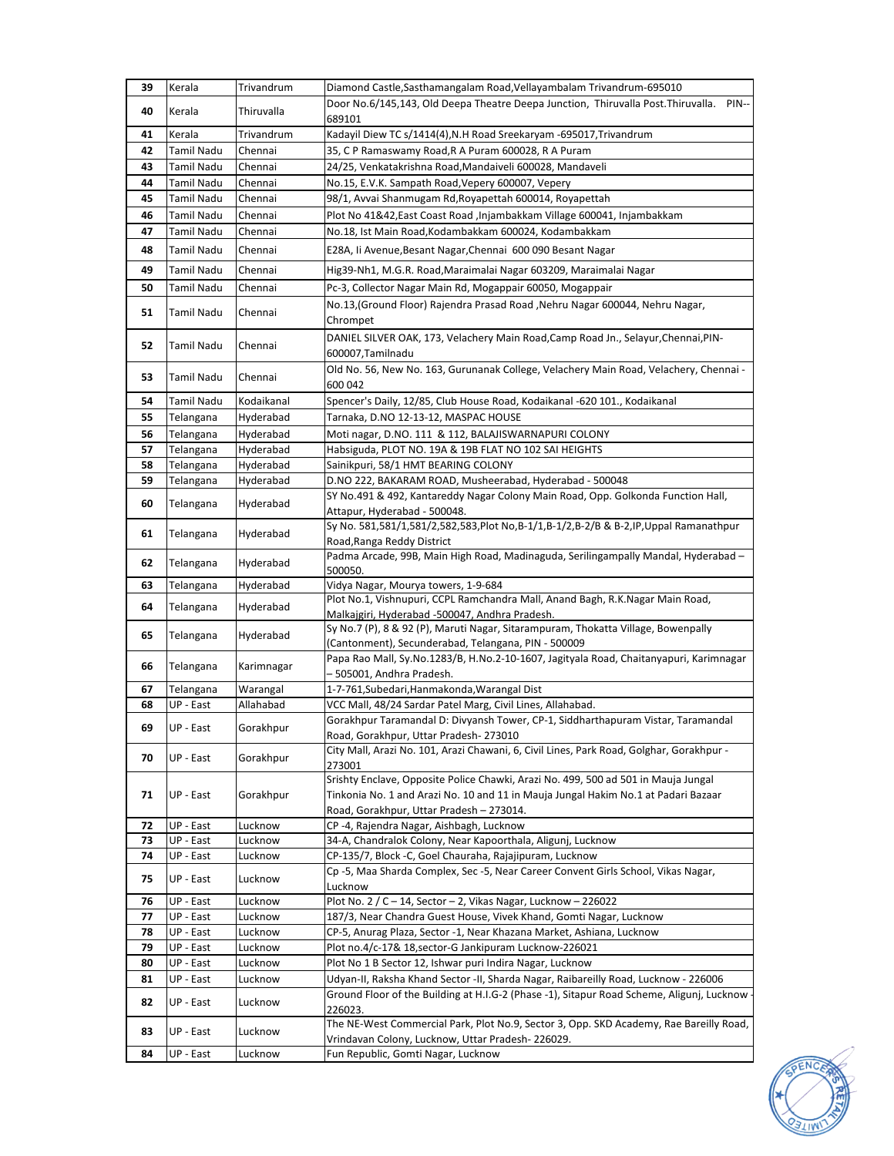| 39 | Kerala            | Trivandrum | Diamond Castle, Sasthamangalam Road, Vellayambalam Trivandrum-695010                                                                                                                                                 |
|----|-------------------|------------|----------------------------------------------------------------------------------------------------------------------------------------------------------------------------------------------------------------------|
| 40 | Kerala            | Thiruvalla | Door No.6/145,143, Old Deepa Theatre Deepa Junction, Thiruvalla Post. Thiruvalla.<br>PIN--                                                                                                                           |
|    |                   |            | 689101                                                                                                                                                                                                               |
| 41 | Kerala            | Trivandrum | Kadayil Diew TC s/1414(4), N.H Road Sreekaryam -695017, Trivandrum                                                                                                                                                   |
| 42 | <b>Tamil Nadu</b> | Chennai    | 35, C P Ramaswamy Road, R A Puram 600028, R A Puram                                                                                                                                                                  |
| 43 | Tamil Nadu        | Chennai    | 24/25, Venkatakrishna Road, Mandaiveli 600028, Mandaveli                                                                                                                                                             |
| 44 | <b>Tamil Nadu</b> | Chennai    | No.15, E.V.K. Sampath Road, Vepery 600007, Vepery                                                                                                                                                                    |
| 45 | Tamil Nadu        | Chennai    | 98/1, Avvai Shanmugam Rd, Royapettah 600014, Royapettah                                                                                                                                                              |
| 46 | <b>Tamil Nadu</b> | Chennai    | Plot No 41&42, East Coast Road, Injambakkam Village 600041, Injambakkam                                                                                                                                              |
| 47 | Tamil Nadu        | Chennai    | No.18, Ist Main Road, Kodambakkam 600024, Kodambakkam                                                                                                                                                                |
| 48 | Tamil Nadu        | Chennai    | E28A, Ii Avenue, Besant Nagar, Chennai 600 090 Besant Nagar                                                                                                                                                          |
| 49 | <b>Tamil Nadu</b> | Chennai    | Hig39-Nh1, M.G.R. Road, Maraimalai Nagar 603209, Maraimalai Nagar                                                                                                                                                    |
| 50 | Tamil Nadu        | Chennai    | Pc-3, Collector Nagar Main Rd, Mogappair 60050, Mogappair                                                                                                                                                            |
| 51 | Tamil Nadu        | Chennai    | No.13, (Ground Floor) Rajendra Prasad Road, Nehru Nagar 600044, Nehru Nagar,                                                                                                                                         |
| 52 | <b>Tamil Nadu</b> | Chennai    | Chrompet<br>DANIEL SILVER OAK, 173, Velachery Main Road, Camp Road Jn., Selayur, Chennai, PIN-<br>600007, Tamilnadu                                                                                                  |
| 53 | <b>Tamil Nadu</b> | Chennai    | Old No. 56, New No. 163, Gurunanak College, Velachery Main Road, Velachery, Chennai -<br>600 042                                                                                                                     |
| 54 | Tamil Nadu        | Kodaikanal | Spencer's Daily, 12/85, Club House Road, Kodaikanal -620 101., Kodaikanal                                                                                                                                            |
| 55 | Telangana         | Hyderabad  | Tarnaka, D.NO 12-13-12, MASPAC HOUSE                                                                                                                                                                                 |
| 56 | Telangana         | Hyderabad  | Moti nagar, D.NO. 111 & 112, BALAJISWARNAPURI COLONY                                                                                                                                                                 |
| 57 | Telangana         | Hyderabad  | Habsiguda, PLOT NO. 19A & 19B FLAT NO 102 SAI HEIGHTS                                                                                                                                                                |
| 58 | Telangana         | Hyderabad  | Sainikpuri, 58/1 HMT BEARING COLONY                                                                                                                                                                                  |
| 59 | Telangana         | Hyderabad  | D.NO 222, BAKARAM ROAD, Musheerabad, Hyderabad - 500048                                                                                                                                                              |
| 60 | Telangana         | Hyderabad  | SY No.491 & 492, Kantareddy Nagar Colony Main Road, Opp. Golkonda Function Hall,<br>Attapur, Hyderabad - 500048.                                                                                                     |
| 61 | Telangana         | Hyderabad  | Sy No. 581,581/1,581/2,582,583,Plot No,B-1/1,B-1/2,B-2/B & B-2,IP,Uppal Ramanathpur<br>Road, Ranga Reddy District                                                                                                    |
| 62 | Telangana         | Hyderabad  | Padma Arcade, 99B, Main High Road, Madinaguda, Serilingampally Mandal, Hyderabad -<br>500050.                                                                                                                        |
| 63 | Telangana         | Hyderabad  | Vidya Nagar, Mourya towers, 1-9-684                                                                                                                                                                                  |
| 64 | Telangana         | Hyderabad  | Plot No.1, Vishnupuri, CCPL Ramchandra Mall, Anand Bagh, R.K.Nagar Main Road,<br>Malkajgiri, Hyderabad -500047, Andhra Pradesh.                                                                                      |
| 65 | Telangana         | Hyderabad  | Sy No.7 (P), 8 & 92 (P), Maruti Nagar, Sitarampuram, Thokatta Village, Bowenpally<br>(Cantonment), Secunderabad, Telangana, PIN - 500009                                                                             |
| 66 | Telangana         | Karimnagar | Papa Rao Mall, Sy.No.1283/B, H.No.2-10-1607, Jagityala Road, Chaitanyapuri, Karimnagar<br>- 505001, Andhra Pradesh.                                                                                                  |
| 67 | Telangana         | Warangal   | 1-7-761, Subedari, Hanmakonda, Warangal Dist                                                                                                                                                                         |
| 68 | UP - East         | Allahabad  | VCC Mall, 48/24 Sardar Patel Marg, Civil Lines, Allahabad.                                                                                                                                                           |
| 69 | UP - East         | Gorakhpur  | Gorakhpur Taramandal D: Divyansh Tower, CP-1, Siddharthapuram Vistar, Taramandal<br>Road, Gorakhpur, Uttar Pradesh-273010                                                                                            |
| 70 | UP - East         | Gorakhpur  | City Mall, Arazi No. 101, Arazi Chawani, 6, Civil Lines, Park Road, Golghar, Gorakhpur -<br>273001                                                                                                                   |
| 71 | UP - East         | Gorakhpur  | Srishty Enclave, Opposite Police Chawki, Arazi No. 499, 500 ad 501 in Mauja Jungal<br>Tinkonia No. 1 and Arazi No. 10 and 11 in Mauja Jungal Hakim No.1 at Padari Bazaar<br>Road, Gorakhpur, Uttar Pradesh - 273014. |
| 72 | UP - East         | Lucknow    | CP-4, Rajendra Nagar, Aishbagh, Lucknow                                                                                                                                                                              |
| 73 | UP - East         | Lucknow    | 34-A, Chandralok Colony, Near Kapoorthala, Aligunj, Lucknow                                                                                                                                                          |
| 74 | UP - East         | Lucknow    | CP-135/7, Block -C, Goel Chauraha, Rajajipuram, Lucknow                                                                                                                                                              |
| 75 | UP - East         | Lucknow    | Cp-5, Maa Sharda Complex, Sec-5, Near Career Convent Girls School, Vikas Nagar,<br>Lucknow                                                                                                                           |
| 76 | UP - East         | Lucknow    | Plot No. $2 / C - 14$ , Sector - 2, Vikas Nagar, Lucknow - 226022                                                                                                                                                    |
| 77 | UP - East         | Lucknow    | 187/3, Near Chandra Guest House, Vivek Khand, Gomti Nagar, Lucknow                                                                                                                                                   |
| 78 | UP - East         | Lucknow    | CP-5, Anurag Plaza, Sector -1, Near Khazana Market, Ashiana, Lucknow                                                                                                                                                 |
| 79 | UP - East         | Lucknow    | Plot no.4/c-17& 18, sector-G Jankipuram Lucknow-226021                                                                                                                                                               |
| 80 | UP - East         | Lucknow    | Plot No 1 B Sector 12, Ishwar puri Indira Nagar, Lucknow                                                                                                                                                             |
| 81 | UP - East         | Lucknow    | Udyan-II, Raksha Khand Sector -II, Sharda Nagar, Raibareilly Road, Lucknow - 226006                                                                                                                                  |
| 82 | UP - East         | Lucknow    | Ground Floor of the Building at H.I.G-2 (Phase -1), Sitapur Road Scheme, Aligunj, Lucknow<br>226023.                                                                                                                 |
| 83 | UP - East         | Lucknow    | The NE-West Commercial Park, Plot No.9, Sector 3, Opp. SKD Academy, Rae Bareilly Road,<br>Vrindavan Colony, Lucknow, Uttar Pradesh-226029.                                                                           |
| 84 | UP - East         | Lucknow    | Fun Republic, Gomti Nagar, Lucknow                                                                                                                                                                                   |
|    |                   |            |                                                                                                                                                                                                                      |

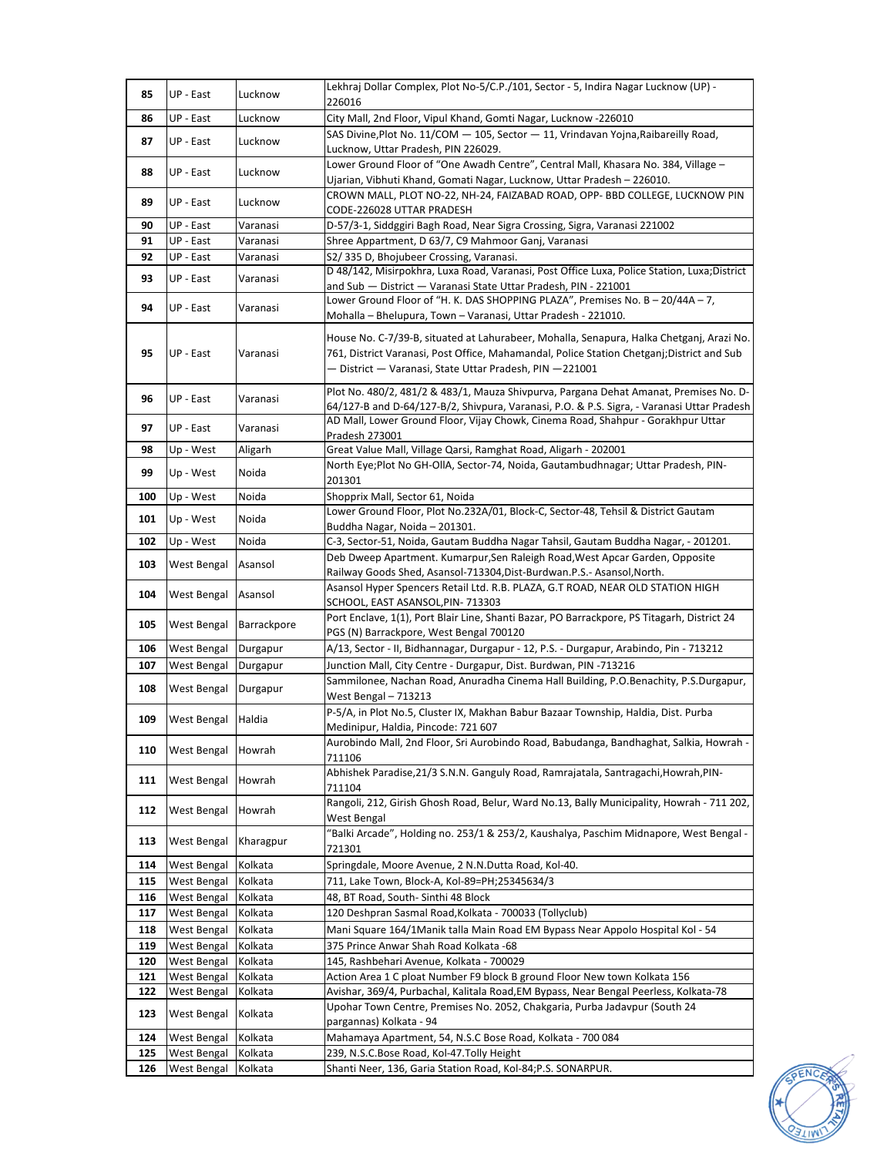| 85         | UP - East                  | Lucknow            | Lekhraj Dollar Complex, Plot No-5/C.P./101, Sector - 5, Indira Nagar Lucknow (UP) -<br>226016                                                                                                                                                     |
|------------|----------------------------|--------------------|---------------------------------------------------------------------------------------------------------------------------------------------------------------------------------------------------------------------------------------------------|
| 86         | UP - East                  | Lucknow            | City Mall, 2nd Floor, Vipul Khand, Gomti Nagar, Lucknow -226010                                                                                                                                                                                   |
|            |                            |                    | SAS Divine, Plot No. 11/COM - 105, Sector - 11, Vrindavan Yojna, Raibareilly Road,                                                                                                                                                                |
| 87         | UP - East                  | Lucknow            | Lucknow, Uttar Pradesh, PIN 226029.                                                                                                                                                                                                               |
| 88         | UP - East                  | Lucknow            | Lower Ground Floor of "One Awadh Centre", Central Mall, Khasara No. 384, Village -<br>Ujarian, Vibhuti Khand, Gomati Nagar, Lucknow, Uttar Pradesh - 226010.                                                                                      |
| 89         | UP - East                  | Lucknow            | CROWN MALL, PLOT NO-22, NH-24, FAIZABAD ROAD, OPP- BBD COLLEGE, LUCKNOW PIN<br>CODE-226028 UTTAR PRADESH                                                                                                                                          |
| 90         | UP - East                  | Varanasi           | D-57/3-1, Siddggiri Bagh Road, Near Sigra Crossing, Sigra, Varanasi 221002                                                                                                                                                                        |
| 91         | UP - East                  | Varanasi           | Shree Appartment, D 63/7, C9 Mahmoor Ganj, Varanasi                                                                                                                                                                                               |
| 92         | UP - East                  | Varanasi           | S2/335 D, Bhojubeer Crossing, Varanasi.                                                                                                                                                                                                           |
| 93         | UP - East                  | Varanasi           | D 48/142, Misirpokhra, Luxa Road, Varanasi, Post Office Luxa, Police Station, Luxa; District<br>and Sub - District - Varanasi State Uttar Pradesh, PIN - 221001                                                                                   |
| 94         | UP - East                  | Varanasi           | Lower Ground Floor of "H. K. DAS SHOPPING PLAZA", Premises No. B - 20/44A - 7,<br>Mohalla - Bhelupura, Town - Varanasi, Uttar Pradesh - 221010.                                                                                                   |
| 95         | UP - East                  | Varanasi           | House No. C-7/39-B, situated at Lahurabeer, Mohalla, Senapura, Halka Chetganj, Arazi No.<br>761, District Varanasi, Post Office, Mahamandal, Police Station Chetganj;District and Sub<br>- District - Varanasi, State Uttar Pradesh, PIN - 221001 |
| 96         | UP - East                  | Varanasi           | Plot No. 480/2, 481/2 & 483/1, Mauza Shivpurva, Pargana Dehat Amanat, Premises No. D-<br>64/127-B and D-64/127-B/2, Shivpura, Varanasi, P.O. & P.S. Sigra, - Varanasi Uttar Pradesh                                                               |
| 97         | UP - East                  | Varanasi           | AD Mall, Lower Ground Floor, Vijay Chowk, Cinema Road, Shahpur - Gorakhpur Uttar<br>Pradesh 273001                                                                                                                                                |
| 98         | Up - West                  | Aligarh            | Great Value Mall, Village Qarsi, Ramghat Road, Aligarh - 202001                                                                                                                                                                                   |
| 99         | Up - West                  | Noida              | North Eye; Plot No GH-OllA, Sector-74, Noida, Gautambudhnagar; Uttar Pradesh, PIN-<br>201301                                                                                                                                                      |
| 100        | Up - West                  | Noida              | Shopprix Mall, Sector 61, Noida                                                                                                                                                                                                                   |
| 101        | Up - West                  | Noida              | Lower Ground Floor, Plot No.232A/01, Block-C, Sector-48, Tehsil & District Gautam<br>Buddha Nagar, Noida - 201301.                                                                                                                                |
| 102        | Up - West                  | Noida              | C-3, Sector-51, Noida, Gautam Buddha Nagar Tahsil, Gautam Buddha Nagar, - 201201.                                                                                                                                                                 |
| 103        | West Bengal                | Asansol            | Deb Dweep Apartment. Kumarpur, Sen Raleigh Road, West Apcar Garden, Opposite                                                                                                                                                                      |
|            |                            |                    | Railway Goods Shed, Asansol-713304, Dist-Burdwan.P.S.- Asansol, North.                                                                                                                                                                            |
| 104        | West Bengal                | Asansol            | Asansol Hyper Spencers Retail Ltd. R.B. PLAZA, G.T ROAD, NEAR OLD STATION HIGH<br>SCHOOL, EAST ASANSOL, PIN- 713303                                                                                                                               |
| 105        | West Bengal                | Barrackpore        | Port Enclave, 1(1), Port Blair Line, Shanti Bazar, PO Barrackpore, PS Titagarh, District 24<br>PGS (N) Barrackpore, West Bengal 700120                                                                                                            |
| 106        | <b>West Bengal</b>         | Durgapur           | A/13, Sector - II, Bidhannagar, Durgapur - 12, P.S. - Durgapur, Arabindo, Pin - 713212                                                                                                                                                            |
| 107        | West Bengal                | Durgapur           | Junction Mall, City Centre - Durgapur, Dist. Burdwan, PIN -713216                                                                                                                                                                                 |
| 108        | West Bengal                | Durgapur           | Sammilonee, Nachan Road, Anuradha Cinema Hall Building, P.O.Benachity, P.S.Durgapur,<br>West Bengal - 713213                                                                                                                                      |
| 109        | West Bengal                | Haldia             | P-5/A, in Plot No.5, Cluster IX, Makhan Babur Bazaar Township, Haldia, Dist. Purba<br>Medinipur, Haldia, Pincode: 721 607                                                                                                                         |
| 110        | West Bengal                | Howrah             | Aurobindo Mall, 2nd Floor, Sri Aurobindo Road, Babudanga, Bandhaghat, Salkia, Howrah -<br>711106                                                                                                                                                  |
| 111        | West Bengal                | Howrah             | Abhishek Paradise, 21/3 S.N.N. Ganguly Road, Ramrajatala, Santragachi, Howrah, PIN-<br>711104                                                                                                                                                     |
| 112        | <b>West Bengal</b>         | Howrah             | Rangoli, 212, Girish Ghosh Road, Belur, Ward No.13, Bally Municipality, Howrah - 711 202,<br>West Bengal                                                                                                                                          |
| 113        | West Bengal                | Kharagpur          | "Balki Arcade", Holding no. 253/1 & 253/2, Kaushalya, Paschim Midnapore, West Bengal -<br>721301                                                                                                                                                  |
| 114        | <b>West Bengal</b>         | Kolkata            | Springdale, Moore Avenue, 2 N.N.Dutta Road, Kol-40.                                                                                                                                                                                               |
| 115        | West Bengal                | Kolkata            | 711, Lake Town, Block-A, Kol-89=PH;25345634/3                                                                                                                                                                                                     |
| 116        | West Bengal                | Kolkata            | 48, BT Road, South- Sinthi 48 Block                                                                                                                                                                                                               |
| 117        | West Bengal                | Kolkata            | 120 Deshpran Sasmal Road, Kolkata - 700033 (Tollyclub)                                                                                                                                                                                            |
| 118        | West Bengal                | Kolkata            | Mani Square 164/1Manik talla Main Road EM Bypass Near Appolo Hospital Kol - 54<br>375 Prince Anwar Shah Road Kolkata -68                                                                                                                          |
| 119<br>120 | West Bengal<br>West Bengal | Kolkata<br>Kolkata | 145, Rashbehari Avenue, Kolkata - 700029                                                                                                                                                                                                          |
| 121        | West Bengal                | Kolkata            | Action Area 1 C ploat Number F9 block B ground Floor New town Kolkata 156                                                                                                                                                                         |
| 122        | West Bengal                | Kolkata            | Avishar, 369/4, Purbachal, Kalitala Road, EM Bypass, Near Bengal Peerless, Kolkata-78                                                                                                                                                             |
| 123        | West Bengal                | Kolkata            | Upohar Town Centre, Premises No. 2052, Chakgaria, Purba Jadavpur (South 24<br>pargannas) Kolkata - 94                                                                                                                                             |
| 124        | West Bengal                | Kolkata            | Mahamaya Apartment, 54, N.S.C Bose Road, Kolkata - 700 084                                                                                                                                                                                        |
| 125        | West Bengal                | Kolkata            | 239, N.S.C.Bose Road, Kol-47.Tolly Height                                                                                                                                                                                                         |
| 126        | West Bengal                | Kolkata            | Shanti Neer, 136, Garia Station Road, Kol-84; P.S. SONARPUR.                                                                                                                                                                                      |

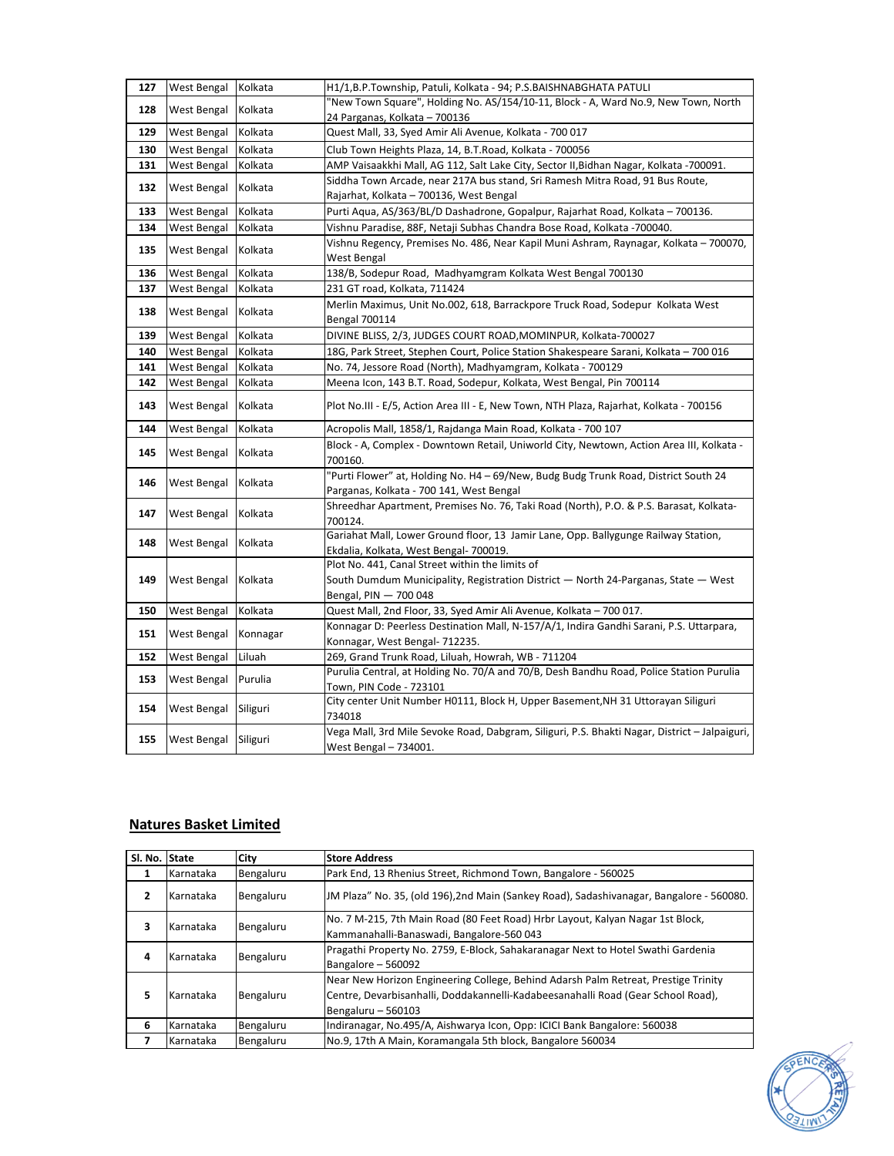| 127 | West Bengal | Kolkata  | H1/1,B.P.Township, Patuli, Kolkata - 94; P.S.BAISHNABGHATA PATULI                                                               |
|-----|-------------|----------|---------------------------------------------------------------------------------------------------------------------------------|
| 128 | West Bengal | Kolkata  | "New Town Square", Holding No. AS/154/10-11, Block - A, Ward No.9, New Town, North                                              |
|     |             |          | 24 Parganas, Kolkata - 700136                                                                                                   |
| 129 | West Bengal | Kolkata  | Quest Mall, 33, Syed Amir Ali Avenue, Kolkata - 700 017                                                                         |
| 130 | West Bengal | Kolkata  | Club Town Heights Plaza, 14, B.T.Road, Kolkata - 700056                                                                         |
| 131 | West Bengal | Kolkata  | AMP Vaisaakkhi Mall, AG 112, Salt Lake City, Sector II, Bidhan Nagar, Kolkata -700091.                                          |
| 132 | West Bengal | Kolkata  | Siddha Town Arcade, near 217A bus stand, Sri Ramesh Mitra Road, 91 Bus Route,                                                   |
|     |             |          | Rajarhat, Kolkata - 700136, West Bengal                                                                                         |
| 133 | West Bengal | Kolkata  | Purti Aqua, AS/363/BL/D Dashadrone, Gopalpur, Rajarhat Road, Kolkata - 700136.                                                  |
| 134 | West Bengal | Kolkata  | Vishnu Paradise, 88F, Netaji Subhas Chandra Bose Road, Kolkata -700040.                                                         |
| 135 | West Bengal | Kolkata  | Vishnu Regency, Premises No. 486, Near Kapil Muni Ashram, Raynagar, Kolkata – 700070,                                           |
|     |             |          | West Bengal                                                                                                                     |
| 136 | West Bengal | Kolkata  | 138/B, Sodepur Road, Madhyamgram Kolkata West Bengal 700130                                                                     |
| 137 | West Bengal | Kolkata  | 231 GT road, Kolkata, 711424                                                                                                    |
| 138 | West Bengal | Kolkata  | Merlin Maximus, Unit No.002, 618, Barrackpore Truck Road, Sodepur Kolkata West                                                  |
|     |             |          | <b>Bengal 700114</b>                                                                                                            |
| 139 | West Bengal | Kolkata  | DIVINE BLISS, 2/3, JUDGES COURT ROAD, MOMINPUR, Kolkata-700027                                                                  |
| 140 | West Bengal | Kolkata  | 18G, Park Street, Stephen Court, Police Station Shakespeare Sarani, Kolkata - 700 016                                           |
| 141 | West Bengal | Kolkata  | No. 74, Jessore Road (North), Madhyamgram, Kolkata - 700129                                                                     |
| 142 | West Bengal | Kolkata  | Meena Icon, 143 B.T. Road, Sodepur, Kolkata, West Bengal, Pin 700114                                                            |
| 143 | West Bengal | Kolkata  | Plot No.III - E/5, Action Area III - E, New Town, NTH Plaza, Rajarhat, Kolkata - 700156                                         |
| 144 | West Bengal | Kolkata  | Acropolis Mall, 1858/1, Rajdanga Main Road, Kolkata - 700 107                                                                   |
| 145 | West Bengal | Kolkata  | Block - A, Complex - Downtown Retail, Uniworld City, Newtown, Action Area III, Kolkata -                                        |
|     |             |          | 700160.                                                                                                                         |
| 146 | West Bengal | Kolkata  | "Purti Flower" at, Holding No. H4 - 69/New, Budg Budg Trunk Road, District South 24<br>Parganas, Kolkata - 700 141, West Bengal |
|     |             |          | Shreedhar Apartment, Premises No. 76, Taki Road (North), P.O. & P.S. Barasat, Kolkata-                                          |
| 147 | West Bengal | Kolkata  | 700124.                                                                                                                         |
|     | West Bengal |          | Gariahat Mall, Lower Ground floor, 13 Jamir Lane, Opp. Ballygunge Railway Station,                                              |
| 148 |             | Kolkata  | Ekdalia, Kolkata, West Bengal- 700019.                                                                                          |
|     | West Bengal | Kolkata  | Plot No. 441, Canal Street within the limits of                                                                                 |
| 149 |             |          | South Dumdum Municipality, Registration District - North 24-Parganas, State - West                                              |
|     |             |          | Bengal, PIN - 700 048                                                                                                           |
| 150 | West Bengal | Kolkata  | Quest Mall, 2nd Floor, 33, Syed Amir Ali Avenue, Kolkata - 700 017.                                                             |
|     |             |          | Konnagar D: Peerless Destination Mall, N-157/A/1, Indira Gandhi Sarani, P.S. Uttarpara,                                         |
| 151 | West Bengal | Konnagar | Konnagar, West Bengal- 712235.                                                                                                  |
| 152 | West Bengal | Liluah   | 269, Grand Trunk Road, Liluah, Howrah, WB - 711204                                                                              |
|     |             |          | Purulia Central, at Holding No. 70/A and 70/B, Desh Bandhu Road, Police Station Purulia                                         |
| 153 | West Bengal | Purulia  | Town, PIN Code - 723101                                                                                                         |
| 154 | West Bengal | Siliguri | City center Unit Number H0111, Block H, Upper Basement, NH 31 Uttorayan Siliguri                                                |
|     |             |          | 734018                                                                                                                          |
| 155 | West Bengal | Siliguri | Vega Mall, 3rd Mile Sevoke Road, Dabgram, Siliguri, P.S. Bhakti Nagar, District - Jalpaiguri,<br>West Bengal - 734001.          |

## **Natures Basket Limited**

| Sl. No.        | State            | City      | <b>Store Address</b>                                                                                                                                                                         |
|----------------|------------------|-----------|----------------------------------------------------------------------------------------------------------------------------------------------------------------------------------------------|
| 1              | <b>Karnataka</b> | Bengaluru | Park End, 13 Rhenius Street, Richmond Town, Bangalore - 560025                                                                                                                               |
| $\overline{2}$ | Karnataka        | Bengaluru | JM Plaza" No. 35, (old 196), 2nd Main (Sankey Road), Sadashivanagar, Bangalore - 560080.                                                                                                     |
| 3              | Karnataka        | Bengaluru | No. 7 M-215, 7th Main Road (80 Feet Road) Hrbr Layout, Kalyan Nagar 1st Block,<br>Kammanahalli-Banaswadi, Bangalore-560 043                                                                  |
| 4              | Karnataka        | Bengaluru | Pragathi Property No. 2759, E-Block, Sahakaranagar Next to Hotel Swathi Gardenia<br>Bangalore - 560092                                                                                       |
| 5              | Karnataka        | Bengaluru | Near New Horizon Engineering College, Behind Adarsh Palm Retreat, Prestige Trinity<br>Centre, Devarbisanhalli, Doddakannelli-Kadabeesanahalli Road (Gear School Road),<br>Bengaluru - 560103 |
| 6              | Karnataka        | Bengaluru | Indiranagar, No.495/A, Aishwarya Icon, Opp: ICICI Bank Bangalore: 560038                                                                                                                     |
|                | Karnataka        | Bengaluru | No.9, 17th A Main, Koramangala 5th block, Bangalore 560034                                                                                                                                   |